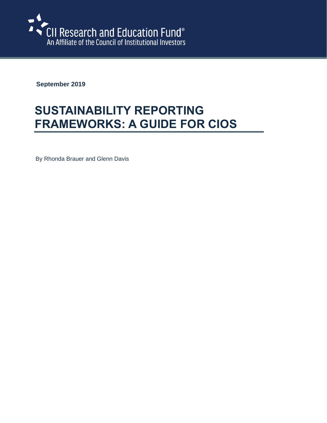

**September 2019**

# **SUSTAINABILITY REPORTING FRAMEWORKS: A GUIDE FOR CIOS**

By Rhonda Brauer and Glenn Davis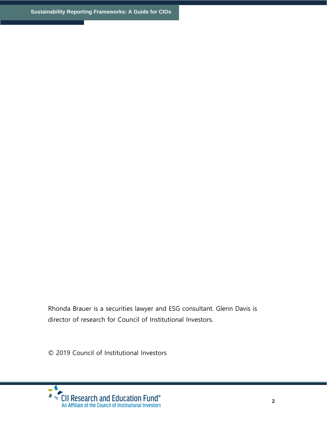Rhonda Brauer is a securities lawyer and ESG consultant. Glenn Davis is director of research for Council of Institutional Investors.

© 2019 Council of Institutional Investors

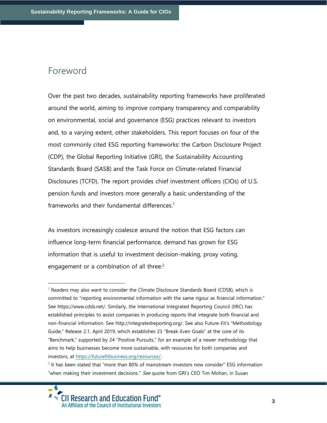### Foreword

Over the past two decades, sustainability reporting frameworks have proliferated around the world, aiming to improve company transparency and comparability on environmental, social and governance (ESG) practices relevant to investors and, to a varying extent, other stakeholders. This report focuses on four of the most commonly cited ESG reporting frameworks: the Carbon Disclosure Project (CDP), the Global Reporting Initiative (GRI), the Sustainability Accounting Standards Board (SASB) and the Task Force on Climate-related Financial Disclosures (TCFD). The report provides chief investment officers (CIOs) of U.S. pension funds and investors more generally a basic understanding of the frameworks and their fundamental differences.<sup>1</sup>

As investors increasingly coalesce around the notion that ESG factors can influence long-term financial performance, demand has grown for ESG information that is useful to investment decision-making, proxy voting, engagement or a combination of all three.<sup>2</sup>

 $<sup>1</sup>$  Readers may also want to consider the Climate Disclosure Standards Board (CDSB), which is</sup> committed to "reporting environmental information with the same rigour as financial information." See [https://www.cdsb.net/.](https://www.cdsb.net/) Similarly, the International Integrated Reporting Council (IIRC) has established principles to assist companies in producing reports that integrate both financial and non-financial information. See [http://integratedreporting.org/.](http://integratedreporting.org/) See also Future-Fit's "Methodology Guide," Release 2.1, April 2019, which establishes 23 "Break-Even Goals" at the core of its "Benchmark," supported by 24 "Positive Pursuits," for an example of a newer methodology that aims to help businesses become more sustainable, with resources for both companies and investors, at [https://futurefitbusiness.org/resources/.](https://futurefitbusiness.org/resources/)

 $2$  It has been stated that "more than 80% of mainstream investors now consider" ESG information "when making their investment decisions." See quote from GRI's CEO Tim Mohan, in Susan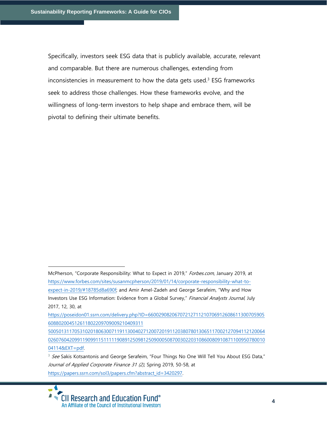Specifically, investors seek ESG data that is publicly available, accurate, relevant and comparable. But there are numerous challenges, extending from inconsistencies in measurement to how the data gets used. $3$  ESG frameworks seek to address those challenges. How these frameworks evolve, and the willingness of long-term investors to help shape and embrace them, will be pivotal to defining their ultimate benefits.

McPherson, "Corporate Responsibility: What to Expect in 2019," Forbes.com, January 2019, at [https://www.forbes.com/sites/susanmcpherson/2019/01/14/corporate-responsibility-what-to](https://www.forbes.com/sites/susanmcpherson/2019/01/14/corporate-responsibility-what-to-expect-in-2019/#18785d8a690f)[expect-in-2019/#18785d8a690f;](https://www.forbes.com/sites/susanmcpherson/2019/01/14/corporate-responsibility-what-to-expect-in-2019/#18785d8a690f) and Amir Amel-Zadeh and George Serafeim, "Why and How Investors Use ESG Information: Evidence from a Global Survey," Financial Analysts Journal, July 2017, 12, 30, at

[https://poseidon01.ssrn.com/delivery.php?ID=66002908206707212711210706912608611300705905](https://poseidon01.ssrn.com/delivery.php?ID=66002908206707212711210706912608611300705905608802004512611802209709009210409311%205005013117053102018063007119113004027120072019112038078013065117002127094112120064026076042099119099115111119089125098125090005087003022031086008091087110095078001004114&EXT=pdf) [608802004512611802209709009210409311](https://poseidon01.ssrn.com/delivery.php?ID=66002908206707212711210706912608611300705905608802004512611802209709009210409311%205005013117053102018063007119113004027120072019112038078013065117002127094112120064026076042099119099115111119089125098125090005087003022031086008091087110095078001004114&EXT=pdf) 

[<sup>5005013117053102018063007119113004027120072019112038078013065117002127094112120064</sup>](https://poseidon01.ssrn.com/delivery.php?ID=66002908206707212711210706912608611300705905608802004512611802209709009210409311%205005013117053102018063007119113004027120072019112038078013065117002127094112120064026076042099119099115111119089125098125090005087003022031086008091087110095078001004114&EXT=pdf) [0260760420991190991151111190891250981250900050870030220310860080910871100950780010](https://poseidon01.ssrn.com/delivery.php?ID=66002908206707212711210706912608611300705905608802004512611802209709009210409311%205005013117053102018063007119113004027120072019112038078013065117002127094112120064026076042099119099115111119089125098125090005087003022031086008091087110095078001004114&EXT=pdf) [04114&EXT=pdf.](https://poseidon01.ssrn.com/delivery.php?ID=66002908206707212711210706912608611300705905608802004512611802209709009210409311%205005013117053102018063007119113004027120072019112038078013065117002127094112120064026076042099119099115111119089125098125090005087003022031086008091087110095078001004114&EXT=pdf) 

<sup>&</sup>lt;sup>3</sup> See Sakis Kotsantonis and George Serafeim, "Four Things No One Will Tell You About ESG Data," Journal of Applied Corporate Finance 31 (2), Spring 2019, 50-58, at [https://papers.ssrn.com/sol3/papers.cfm?abstract\\_id=3420297.](https://papers.ssrn.com/sol3/papers.cfm?abstract_id=3420297)

**CII Research and Education Fund®** An Affiliate of the Council of Institutional Investors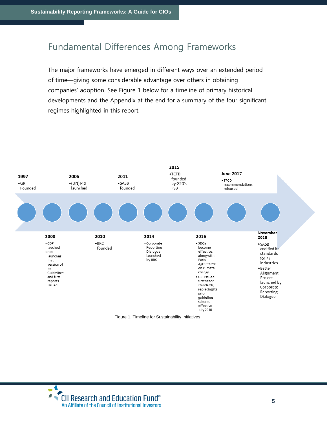# Fundamental Differences Among Frameworks

The major frameworks have emerged in different ways over an extended period of time—giving some considerable advantage over others in obtaining companies' adoption. See Figure 1 below for a timeline of primary historical developments and the Appendix at the end for a summary of the four significant regimes highlighted in this report.



Figure 1. Timeline for Sustainability Initiatives

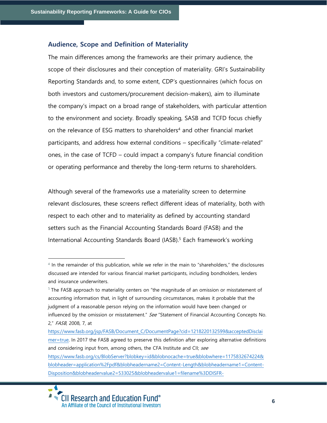#### **Audience, Scope and Definition of Materiality**

The main differences among the frameworks are their primary audience, the scope of their disclosures and their conception of materiality. GRI's Sustainability Reporting Standards and, to some extent, CDP's questionnaires (which focus on both investors and customers/procurement decision-makers), aim to illuminate the company's impact on a broad range of stakeholders, with particular attention to the environment and society. Broadly speaking, SASB and TCFD focus chiefly on the relevance of ESG matters to shareholders<sup>4</sup> and other financial market participants, and address how external conditions – specifically "climate-related" ones, in the case of TCFD – could impact a company's future financial condition or operating performance and thereby the long-term returns to shareholders.

Although several of the frameworks use a materiality screen to determine relevant disclosures, these screens reflect different ideas of materiality, both with respect to each other and to materiality as defined by accounting standard setters such as the Financial Accounting Standards Board (FASB) and the International Accounting Standards Board (IASB).<sup>5</sup> Each framework's working

<sup>4</sup> In the remainder of this publication, while we refer in the main to "shareholders," the disclosures discussed are intended for various financial market participants, including bondholders, lenders and insurance underwriters.

 $5$  The FASB approach to materiality centers on "the magnitude of an omission or misstatement of accounting information that, in light of surrounding circumstances, makes it probable that the judgment of a reasonable person relying on the information would have been changed or influenced by the omission or misstatement." See "Statement of Financial Accounting Concepts No. 2," FASB, 2008, 7, at

[https://www.fasb.org/jsp/FASB/Document\\_C/DocumentPage?cid=1218220132599&acceptedDisclai](https://www.fasb.org/jsp/FASB/Document_C/DocumentPage?cid=1218220132599&acceptedDisclaimer=true) [mer=true.](https://www.fasb.org/jsp/FASB/Document_C/DocumentPage?cid=1218220132599&acceptedDisclaimer=true) In 2017 the FASB agreed to preserve this definition after exploring alternative definitions and considering input from, among others, the CFA Institute and CII; see [https://www.fasb.org/cs/BlobServer?blobkey=id&blobnocache=true&blobwhere=1175832674224&](https://www.fasb.org/cs/BlobServer?blobkey=id&blobnocache=true&blobwhere=1175832674224&blobheader=application%2Fpdf&blobheadername2=Content-Length&blobheadername1=Content-Disposition&blobheadervalue2=533025&blobheadervalue1=filename%3DDISFR-C.ED.0050.CFA_INSTITUTE_CDPC_SANDRA_J._PETERS_ASHWINPAUL_C._SONDHI.pdf&blobcol=urldata&blobtable=MungoBlobs) [blobheader=application%2Fpdf&blobheadername2=Content-Length&blobheadername1=Content-](https://www.fasb.org/cs/BlobServer?blobkey=id&blobnocache=true&blobwhere=1175832674224&blobheader=application%2Fpdf&blobheadername2=Content-Length&blobheadername1=Content-Disposition&blobheadervalue2=533025&blobheadervalue1=filename%3DDISFR-C.ED.0050.CFA_INSTITUTE_CDPC_SANDRA_J._PETERS_ASHWINPAUL_C._SONDHI.pdf&blobcol=urldata&blobtable=MungoBlobs)

[Disposition&blobheadervalue2=533025&blobheadervalue1=filename%3DDISFR-](https://www.fasb.org/cs/BlobServer?blobkey=id&blobnocache=true&blobwhere=1175832674224&blobheader=application%2Fpdf&blobheadername2=Content-Length&blobheadername1=Content-Disposition&blobheadervalue2=533025&blobheadervalue1=filename%3DDISFR-C.ED.0050.CFA_INSTITUTE_CDPC_SANDRA_J._PETERS_ASHWINPAUL_C._SONDHI.pdf&blobcol=urldata&blobtable=MungoBlobs)

 $\blacktriangle$ • CII Research and Education Fund® An Affiliate of the Council of Institutional Investors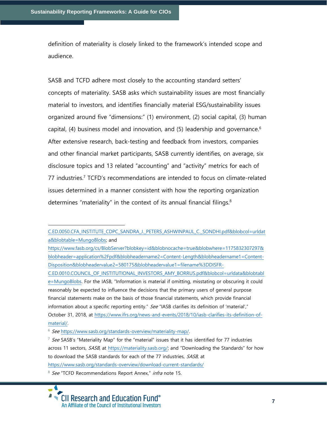definition of materiality is closely linked to the framework's intended scope and audience.

SASB and TCFD adhere most closely to the accounting standard setters' concepts of materiality. SASB asks which sustainability issues are most financially material to investors, and identifies financially material ESG/sustainability issues organized around five "dimensions:" (1) environment, (2) social capital, (3) human capital, (4) business model and innovation, and (5) leadership and governance.<sup>6</sup> After extensive research, back-testing and feedback from investors, companies and other financial market participants, SASB currently identifies, on average, six disclosure topics and 13 related "accounting" and "activity" metrics for each of 77 industries.<sup>7</sup> TCFD's recommendations are intended to focus on climate-related issues determined in a manner consistent with how the reporting organization determines "materiality" in the context of its annual financial filings.<sup>8</sup>

<sup>6</sup> See https://www.sasb.org/standards-overview/materiality-map/.

<https://www.sasb.org/standards-overview/download-current-standards/>

<sup>&</sup>lt;sup>8</sup> See "TCFD Recommendations Report Annex," infra note 15.



[C.ED.0050.CFA\\_INSTITUTE\\_CDPC\\_SANDRA\\_J.\\_PETERS\\_ASHWINPAUL\\_C.\\_SONDHI.pdf&blobcol=urldat](https://www.fasb.org/cs/BlobServer?blobkey=id&blobnocache=true&blobwhere=1175832674224&blobheader=application%2Fpdf&blobheadername2=Content-Length&blobheadername1=Content-Disposition&blobheadervalue2=533025&blobheadervalue1=filename%3DDISFR-C.ED.0050.CFA_INSTITUTE_CDPC_SANDRA_J._PETERS_ASHWINPAUL_C._SONDHI.pdf&blobcol=urldata&blobtable=MungoBlobs) [a&blobtable=MungoBlobs;](https://www.fasb.org/cs/BlobServer?blobkey=id&blobnocache=true&blobwhere=1175832674224&blobheader=application%2Fpdf&blobheadername2=Content-Length&blobheadername1=Content-Disposition&blobheadervalue2=533025&blobheadervalue1=filename%3DDISFR-C.ED.0050.CFA_INSTITUTE_CDPC_SANDRA_J._PETERS_ASHWINPAUL_C._SONDHI.pdf&blobcol=urldata&blobtable=MungoBlobs) and

[https://www.fasb.org/cs/BlobServer?blobkey=id&blobnocache=true&blobwhere=1175832307297&](https://www.fasb.org/cs/BlobServer?blobkey=id&blobnocache=true&blobwhere=1175832307297&blobheader=application%2Fpdf&blobheadername2=Content-Length&blobheadername1=Content-Disposition&blobheadervalue2=580175&blobheadervalue1=filename%3DDISFR-C.ED.0010.COUNCIL_OF_INSTITUTIONAL_INVESTORS_AMY_BORRUS.pdf&blobcol=urldata&blobtable=MungoBlobs) [blobheader=application%2Fpdf&blobheadername2=Content-Length&blobheadername1=Content-](https://www.fasb.org/cs/BlobServer?blobkey=id&blobnocache=true&blobwhere=1175832307297&blobheader=application%2Fpdf&blobheadername2=Content-Length&blobheadername1=Content-Disposition&blobheadervalue2=580175&blobheadervalue1=filename%3DDISFR-C.ED.0010.COUNCIL_OF_INSTITUTIONAL_INVESTORS_AMY_BORRUS.pdf&blobcol=urldata&blobtable=MungoBlobs)[Disposition&blobheadervalue2=580175&blobheadervalue1=filename%3DDISFR-](https://www.fasb.org/cs/BlobServer?blobkey=id&blobnocache=true&blobwhere=1175832307297&blobheader=application%2Fpdf&blobheadername2=Content-Length&blobheadername1=Content-Disposition&blobheadervalue2=580175&blobheadervalue1=filename%3DDISFR-C.ED.0010.COUNCIL_OF_INSTITUTIONAL_INVESTORS_AMY_BORRUS.pdf&blobcol=urldata&blobtable=MungoBlobs)

[C.ED.0010.COUNCIL\\_OF\\_INSTITUTIONAL\\_INVESTORS\\_AMY\\_BORRUS.pdf&blobcol=urldata&blobtabl](https://www.fasb.org/cs/BlobServer?blobkey=id&blobnocache=true&blobwhere=1175832307297&blobheader=application%2Fpdf&blobheadername2=Content-Length&blobheadername1=Content-Disposition&blobheadervalue2=580175&blobheadervalue1=filename%3DDISFR-C.ED.0010.COUNCIL_OF_INSTITUTIONAL_INVESTORS_AMY_BORRUS.pdf&blobcol=urldata&blobtable=MungoBlobs) [e=MungoBlobs.](https://www.fasb.org/cs/BlobServer?blobkey=id&blobnocache=true&blobwhere=1175832307297&blobheader=application%2Fpdf&blobheadername2=Content-Length&blobheadername1=Content-Disposition&blobheadervalue2=580175&blobheadervalue1=filename%3DDISFR-C.ED.0010.COUNCIL_OF_INSTITUTIONAL_INVESTORS_AMY_BORRUS.pdf&blobcol=urldata&blobtable=MungoBlobs) For the IASB, "Information is material if omitting, misstating or obscuring it could reasonably be expected to influence the decisions that the primary users of general purpose financial statements make on the basis of those financial statements, which provide financial information about a specific reporting entity." See "IASB clarifies its definition of 'material'," October 31, 2018, at [https://www.ifrs.org/news-and-events/2018/10/iasb-clarifies-its-definition-of](https://www.ifrs.org/news-and-events/2018/10/iasb-clarifies-its-definition-of-material/)[material/.](https://www.ifrs.org/news-and-events/2018/10/iasb-clarifies-its-definition-of-material/)

 $7$  See SASB's "Materiality Map" for the "material" issues that it has identified for 77 industries across 11 sectors, SASB, at [https://materiality.sasb.org/;](https://materiality.sasb.org/) and "Downloading the Standards" for how to download the SASB standards for each of the 77 industries, SASB, at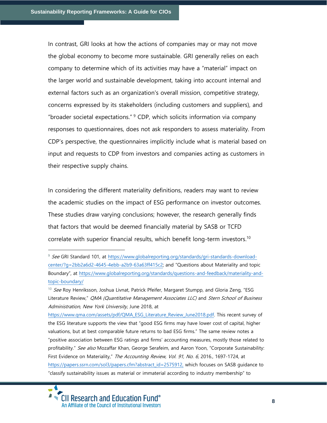In contrast, GRI looks at how the actions of companies may or may not move the global economy to become more sustainable. GRI generally relies on each company to determine which of its activities may have a "material" impact on the larger world and sustainable development, taking into account internal and external factors such as an organization's overall mission, competitive strategy, concerns expressed by its stakeholders (including customers and suppliers), and "broader societal expectations." <sup>9</sup> CDP, which solicits information via company responses to questionnaires, does not ask responders to assess materiality. From CDP's perspective, the questionnaires implicitly include what is material based on input and requests to CDP from investors and companies acting as customers in their respective supply chains.

In considering the different materiality definitions, readers may want to review the academic studies on the impact of ESG performance on investor outcomes. These studies draw varying conclusions; however, the research generally finds that factors that would be deemed financially material by SASB or TCFD correlate with superior financial results, which benefit long-term investors.<sup>10</sup>

[https://www.qma.com/assets/pdf/QMA\\_ESG\\_Literature\\_Review\\_June2018.pdf.](https://www.qma.com/assets/pdf/QMA_ESG_Literature_Review_June2018.pdf) This recent survey of the ESG literature supports the view that "good ESG firms may have lower cost of capital, higher valuations, but at best comparable future returns to bad ESG firms." The same review notes a "positive association between ESG ratings and firms' accounting measures, mostly those related to profitability." See also Mozaffar Khan, George Serafeim, and Aaron Yoon, "Corporate Sustainability: First Evidence on Materiality," The Accounting Review, Vol. 91, No. 6, 2016., 1697-1724, at [https://papers.ssrn.com/sol3/papers.cfm?abstract\\_id=2575912,](https://papers.ssrn.com/sol3/papers.cfm?abstract_id=2575912) which focuses on SASB quidance to "classify sustainability issues as material or immaterial according to industry membership" to



<sup>&</sup>lt;sup>9</sup> See GRI Standard 101, at [https://www.globalreporting.org/standards/gri-standards-download](https://www.globalreporting.org/standards/gri-standards-download-center/?g=2bb2a6d2-4645-4ebb-a2b9-63a63ff415c2)[center/?g=2bb2a6d2-4645-4ebb-a2b9-63a63ff415c2](https://www.globalreporting.org/standards/gri-standards-download-center/?g=2bb2a6d2-4645-4ebb-a2b9-63a63ff415c2); and "Questions about Materiality and topic Boundary", at [https://www.globalreporting.org/standards/questions-and-feedback/materiality-and](https://www.globalreporting.org/standards/questions-and-feedback/materiality-and-topic-boundary/)[topic-boundary/](https://www.globalreporting.org/standards/questions-and-feedback/materiality-and-topic-boundary/)

<sup>&</sup>lt;sup>10</sup> See Roy Henriksson, Joshua Livnat, Patrick Pfeifer, Margaret Stumpp, and Gloria Zeng, "ESG Literature Review," QMA (Quantitative Management Associates LLC) and Stern School of Business Administration, New York University, June 2018, at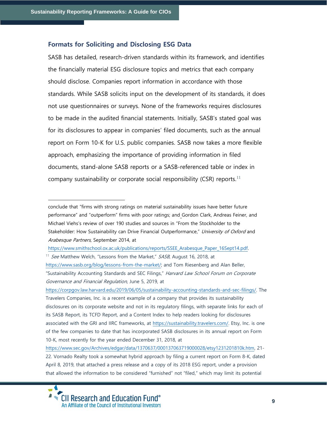#### **Formats for Soliciting and Disclosing ESG Data**

SASB has detailed, research-driven standards within its framework, and identifies the financially material ESG disclosure topics and metrics that each company should disclose. Companies report information in accordance with those standards. While SASB solicits input on the development of its standards, it does not use questionnaires or surveys. None of the frameworks requires disclosures to be made in the audited financial statements. Initially, SASB's stated goal was for its disclosures to appear in companies' filed documents, such as the annual report on Form 10-K for U.S. public companies. SASB now takes a more flexible approach, emphasizing the importance of providing information in filed documents, stand-alone SASB reports or a SASB-referenced table or index in company sustainability or corporate social responsibility (CSR) reports.<sup>11</sup>

[https://www.smithschool.ox.ac.uk/publications/reports/SSEE\\_Arabesque\\_Paper\\_16Sept14.pdf.](https://www.smithschool.ox.ac.uk/publications/reports/SSEE_Arabesque_Paper_16Sept14.pdf)

<sup>11</sup> See Matthew Welch, "Lessons from the Market," SASB, August 16, 2018, at [https://www.sasb.org/blog/lessons-from-the-market/;](https://www.sasb.org/blog/lessons-from-the-market/) and Tom Riesenberg and Alan Beller, "Sustainability Accounting Standards and SEC Filings," Harvard Law School Forum on Corporate Governance and Financial Regulation, June 5, 2019, at

[https://corpgov.law.harvard.edu/2019/06/05/sustainability-accounting-standards-and-sec-filings/.](https://corpgov.law.harvard.edu/2019/06/05/sustainability-accounting-standards-and-sec-filings/) The Travelers Companies, Inc. is a recent example of a company that provides its sustainability disclosures on its corporate website and not in its regulatory filings, with separate links for each of its SASB Report, its TCFD Report, and a Content Index to help readers looking for disclosures associated with the GRI and IIRC frameworks, at [https://sustainability.travelers.com/.](https://sustainability.travelers.com/) Etsy, Inc. is one of the few companies to date that has incorporated SASB disclosures in its annual report on Form 10-K, most recently for the year ended December 31, 2018, at

[https://www.sec.gov/Archives/edgar/data/1370637/000137063719000028/etsy1231201810k.htm,](https://www.sec.gov/Archives/edgar/data/1370637/000137063719000028/etsy1231201810k.htm) 21- 22. Vornado Realty took a somewhat hybrid approach by filing a current report on Form 8-K, dated April 8, 2019, that attached a press release and a copy of its 2018 ESG report, under a provision that allowed the information to be considered "furnished" not "filed," which may limit its potential



conclude that "firms with strong ratings on material sustainability issues have better future performance" and "outperform" firms with poor ratings; and Gordon Clark, Andreas Feiner, and Michael Viehs's review of over 190 studies and sources in "From the Stockholder to the Stakeholder: How Sustainability can Drive Financial Outperformance," University of Oxford and Arabesque Partners, September 2014, at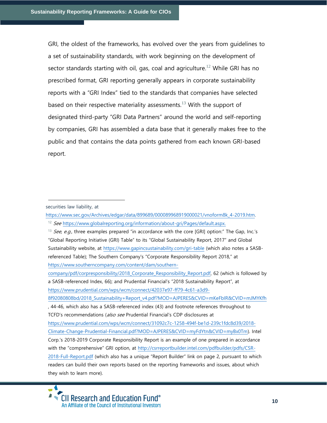GRI, the oldest of the frameworks, has evolved over the years from guidelines to a set of sustainability standards, with work beginning on the development of sector standards starting with oil, gas, coal and agriculture.<sup>12</sup> While GRI has no prescribed format, GRI reporting generally appears in corporate sustainability reports with a "GRI Index" tied to the standards that companies have selected based on their respective materiality assessments.<sup>13</sup> With the support of designated third-party "GRI Data Partners" around the world and self-reporting by companies, GRI has assembled a data base that it generally makes free to the public and that contains the data points gathered from each known GRI-based report.

securities law liability, at

[https://www.prudential.com/wps/wcm/connect/42037e97-ff79-4c61-a3d9-](https://www.prudential.com/wps/wcm/connect/42037e97-ff79-4c61-a3d9-8f92080808bd/2018_Sustainability+Report_v4.pdf?MOD=AJPERES&CVID=mKeFbIR&CVID=mJMYKfh)

[https://www.sec.gov/Archives/edgar/data/899689/000089968919000021/vnoform8k\\_4-2019.htm.](https://www.sec.gov/Archives/edgar/data/899689/000089968919000021/vnoform8k_4-2019.htm)

<sup>&</sup>lt;sup>12</sup> See [https://www.globalreporting.org/information/about-gri/Pages/default.aspx.](https://www.globalreporting.org/information/about-gri/Pages/default.aspx)

<sup>&</sup>lt;sup>13</sup> See, e.g., three examples prepared "in accordance with the core [GRI] option:" The Gap, Inc.'s "Global Reporting Initiative (GRI) Table" to its "Global Sustainability Report, 2017" and Global Sustainability website, at<https://www.gapincsustainability.com/gri-table> (which also notes a SASBreferenced Table); The Southern Company's "[Corporate Responsibility Report](https://c212.net/c/link/?t=0&l=en&o=2471125-1&h=1207708088&u=https%3A%2F%2Fwww.southerncompany.com%2Fcontent%2Fdam%2Fsouthern-company%2Fpdf%2Fcorpresponsibility%2F2018_Corporate_Responsibility_Report.pdf&a=2018+Corporate+Responsibility+Report) 2018," at [https://www.southerncompany.com/content/dam/southern-](https://www.southerncompany.com/content/dam/southern-company/pdf/corpresponsibility/2018_Corporate_Responsibility_Report.pdf)

[company/pdf/corpresponsibility/2018\\_Corporate\\_Responsibility\\_Report.pdf,](https://www.southerncompany.com/content/dam/southern-company/pdf/corpresponsibility/2018_Corporate_Responsibility_Report.pdf) 62 (which is followed by a SASB-referenced Index, 66); and Prudential Financial's "2018 Sustainability Report", at

[<sup>8</sup>f92080808bd/2018\\_Sustainability+Report\\_v4.pdf?MOD=AJPERES&CVID=mKeFbIR&CVID=mJMYKfh](https://www.prudential.com/wps/wcm/connect/42037e97-ff79-4c61-a3d9-8f92080808bd/2018_Sustainability+Report_v4.pdf?MOD=AJPERES&CVID=mKeFbIR&CVID=mJMYKfh)

<sup>,</sup> 44-46, which also has a SASB-referenced index (43) and footnote references throughout to TCFD's recommendations (also see Prudential Financial's CDP disclosures at

[https://www.prudential.com/wps/wcm/connect/31092c7c-1258-494f-be1d-239c1fdc8d39/2018-](https://www.prudential.com/wps/wcm/connect/31092c7c-1258-494f-be1d-239c1fdc8d39/2018-Climate-Change-Prudential-Financial.pdf?MOD=AJPERES&CVID=myFdYtn&CVID=myBx0Tm)

[Climate-Change-Prudential-Financial.pdf?MOD=AJPERES&CVID=myFdYtn&CVID=myBx0Tm\)](https://www.prudential.com/wps/wcm/connect/31092c7c-1258-494f-be1d-239c1fdc8d39/2018-Climate-Change-Prudential-Financial.pdf?MOD=AJPERES&CVID=myFdYtn&CVID=myBx0Tm). Intel Corp.'s 2018-2019 Corporate Responsibility Report is an example of one prepared in accordance with the "comprehensive" GRI option, at [http://csrreportbuilder.intel.com/pdfbuilder/pdfs/CSR-](http://csrreportbuilder.intel.com/pdfbuilder/pdfs/CSR-2018-Full-Report.pdf)

[<sup>2018-</sup>Full-Report.pdf](http://csrreportbuilder.intel.com/pdfbuilder/pdfs/CSR-2018-Full-Report.pdf) (which also has a unique "Report Builder" link on page 2, pursuant to which readers can build their own reports based on the reporting frameworks and issues, about which they wish to learn more).

**CII Research and Education Fund®** An Affiliate of the Council of Institutional Investors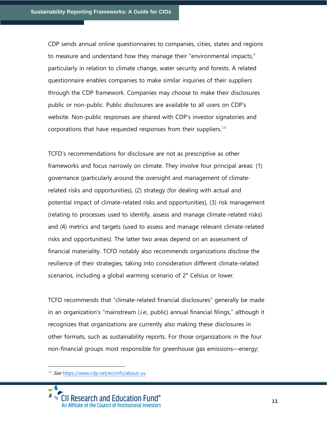CDP sends annual online questionnaires to companies, cities, states and regions to measure and understand how they manage their "environmental impacts," particularly in relation to climate change, water security and forests. A related questionnaire enables companies to make similar inquiries of their suppliers through the CDP framework. Companies may choose to make their disclosures public or non-public. Public disclosures are available to all users on CDP's website. Non-public responses are shared with CDP's investor signatories and corporations that have requested responses from their suppliers.<sup>14</sup>

TCFD's recommendations for disclosure are not as prescriptive as other frameworks and focus narrowly on climate. They involve four principal areas: (1) governance (particularly around the oversight and management of climaterelated risks and opportunities), (2) strategy (for dealing with actual and potential impact of climate-related risks and opportunities), (3) risk management (relating to processes used to identify, assess and manage climate-related risks) and (4) metrics and targets (used to assess and manage relevant climate-related risks and opportunities). The latter two areas depend on an assessment of financial materiality. TCFD notably also recommends organizations disclose the resilience of their strategies, taking into consideration different climate-related scenarios, including a global warming scenario of 2° Celsius or lower.

TCFD recommends that "climate-related financial disclosures" generally be made in an organization's "mainstream  $(i.e.,$  public) annual financial filings," although it recognizes that organizations are currently also making these disclosures in other formats, such as sustainability reports. For those organizations in the four non-financial groups most responsible for greenhouse gas emissions—energy;

<sup>14</sup> See [https://www.cdp.net/en/info/about-us.](https://www.cdp.net/en/info/about-us)

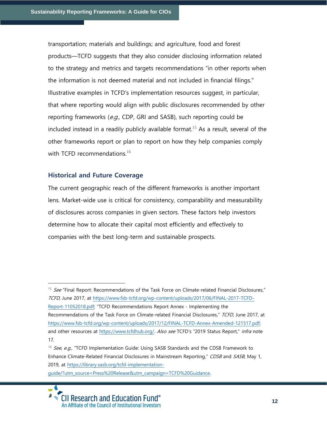transportation; materials and buildings; and agriculture, food and forest products—TCFD suggests that they also consider disclosing information related to the strategy and metrics and targets recommendations "in other reports when the information is not deemed material and not included in financial filings." Illustrative examples in TCFD's implementation resources suggest, in particular, that where reporting would align with public disclosures recommended by other reporting frameworks (e.g., CDP, GRI and SASB), such reporting could be included instead in a readily publicly available format.<sup>15</sup> As a result, several of the other frameworks report or plan to report on how they help companies comply with TCFD recommendations. $16$ 

#### **Historical and Future Coverage**

The current geographic reach of the different frameworks is another important lens. Market-wide use is critical for consistency, comparability and measurability of disclosures across companies in given sectors. These factors help investors determine how to allocate their capital most efficiently and effectively to companies with the best long-term and sustainable prospects.

<sup>&</sup>lt;sup>16</sup> See, e.g., "TCFD Implementation Guide: Using SASB Standards and the CDSB Framework to Enhance Climate-Related Financial Disclosures in Mainstream Reporting," CDSB and SASB, May 1, 2019, at [https://library.sasb.org/tcfd-implementation](https://library.sasb.org/tcfd-implementation-guide/?utm_source=Press%20Release&utm_campaign=TCFD%20Guidance)[guide/?utm\\_source=Press%20Release&utm\\_campaign=TCFD%20Guidance.](https://library.sasb.org/tcfd-implementation-guide/?utm_source=Press%20Release&utm_campaign=TCFD%20Guidance) 



<sup>&</sup>lt;sup>15</sup> See "Final Report: Recommendations of the Task Force on Climate-related Financial Disclosures," TCFD, June 2017, at [https://www.fsb-tcfd.org/wp-content/uploads/2017/06/FINAL-2017-TCFD-](https://www.fsb-tcfd.org/wp-content/uploads/2017/06/FINAL-2017-TCFD-Report-11052018.pdf)[Report-11052018.pdf](https://www.fsb-tcfd.org/wp-content/uploads/2017/06/FINAL-2017-TCFD-Report-11052018.pdf); "TCFD Recommendations Report Annex - Implementing the Recommendations of the Task Force on Climate-related Financial Disclosures," TCFD, June 2017, at [https://www.fsb-tcfd.org/wp-content/uploads/2017/12/FINAL-TCFD-Annex-Amended-121517.pdf;](https://www.fsb-tcfd.org/wp-content/uploads/2017/12/FINAL-TCFD-Annex-Amended-121517.pdf) and other resources at [https://www.tcfdhub.org/.](https://www.tcfdhub.org/) Also see TCFD's "2019 Status Report," infra note 17.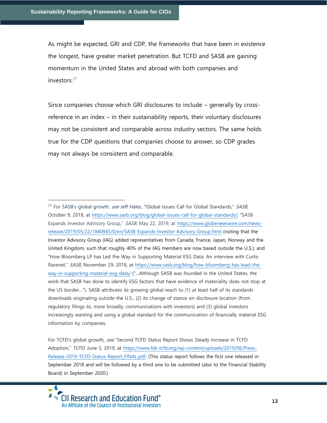As might be expected, GRI and CDP, the frameworks that have been in existence the longest, have greater market penetration. But TCFD and SASB are gaining momentum in the United States and abroad with both companies and investors $17$ 

Since companies choose which GRI disclosures to include – generally by crossreference in an index – in their sustainability reports, their voluntary disclosures may not be consistent and comparable across industry sectors. The same holds true for the CDP questions that companies choose to answer, so CDP grades may not always be consistent and comparable.

**<sup>17</sup>** For SASB's global growth, see Jeff Hales, **"**Global Issues Call for Global Standards," SASB, October 9, 2018, at<https://www.sasb.org/blog/global-issues-call-for-global-standards/>; "SASB Expands Investor Advisory Group," SASB, May 22, 2019, at [https://www.globenewswire.com/news](https://www.globenewswire.com/news-release/2019/05/22/1840845/0/en/SASB-Expands-Investor-Advisory-Group.html)[release/2019/05/22/1840845/0/en/SASB-Expands-Investor-Advisory-Group.html](https://www.globenewswire.com/news-release/2019/05/22/1840845/0/en/SASB-Expands-Investor-Advisory-Group.html) (noting that the Investor Advisory Group (IAG) added representatives from Canada, France, Japan, Norway and the United Kingdom, such that roughly 40% of the IAG members are now based outside the U.S.); and "How Bloomberg LP has Led the Way in Supporting Material ESG Data: An interview with Curtis Ravenel," SASB, November 29, 2018, at [https://www.sasb.org/blog/how-bloomberg-has-lead-the](https://www.sasb.org/blog/how-bloomberg-has-lead-the-way-in-supporting-material-esg-data/)[way-in-supporting-material-esg-data/](https://www.sasb.org/blog/how-bloomberg-has-lead-the-way-in-supporting-material-esg-data/) ("…Although SASB was founded in the United States, the work that SASB has done to identify ESG factors that have evidence of materiality does not stop at the US border…"). SASB attributes its growing global reach to (1) at least half of its standards downloads originating outside the U.S., (2) its change of stance on disclosure location (from regulatory filings to, more broadly, communications with investors) and (3) global investors increasingly wanting and using a global standard for the communication of financially material ESG information by companies.

For TCFD's global growth, see "Second TCFD Status Report Shows Steady Increase in TCFD Adoption," TCFD, June 5, 2019, at [https://www.fsb-tcfd.org/wp-content/uploads/2019/06/Press-](https://www.fsb-tcfd.org/wp-content/uploads/2019/06/Press-Release-2019-TCFD-Status-Report_FINAL.pdf)[Release-2019-TCFD-Status-Report\\_FINAL.pdf.](https://www.fsb-tcfd.org/wp-content/uploads/2019/06/Press-Release-2019-TCFD-Status-Report_FINAL.pdf) (This status report follows the first one released in September 2018 and will be followed by a third one to be submitted (also to the Financial Stability Board) in September 2020.)

**CII Research and Education Fund®** An Affiliate of the Council of Institutional Investors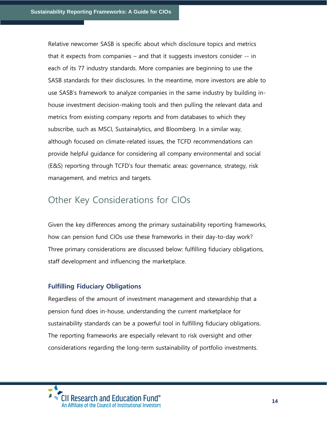Relative newcomer SASB is specific about which disclosure topics and metrics that it expects from companies – and that it suggests investors consider -- in each of its 77 industry standards. More companies are beginning to use the SASB standards for their disclosures. In the meantime, more investors are able to use SASB's framework to analyze companies in the same industry by building inhouse investment decision-making tools and then pulling the relevant data and metrics from existing company reports and from databases to which they subscribe, such as MSCI, Sustainalytics, and Bloomberg. In a similar way, although focused on climate-related issues, the TCFD recommendations can provide helpful guidance for considering all company environmental and social (E&S) reporting through TCFD's four thematic areas: governance, strategy, risk management, and metrics and targets.

# Other Key Considerations for CIOs

Given the key differences among the primary sustainability reporting frameworks, how can pension fund CIOs use these frameworks in their day-to-day work? Three primary considerations are discussed below: fulfilling fiduciary obligations, staff development and influencing the marketplace.

#### **Fulfilling Fiduciary Obligations**

Regardless of the amount of investment management and stewardship that a pension fund does in-house, understanding the current marketplace for sustainability standards can be a powerful tool in fulfilling fiduciary obligations. The reporting frameworks are especially relevant to risk oversight and other considerations regarding the long-term sustainability of portfolio investments.

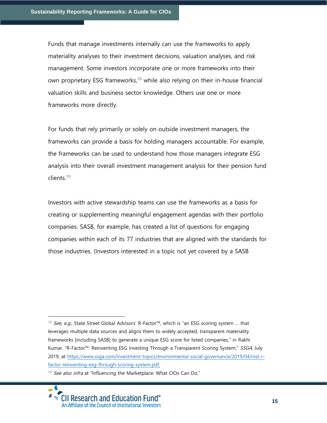Funds that manage investments internally can use the frameworks to apply materiality analyses to their investment decisions, valuation analyses, and risk management. Some investors incorporate one or more frameworks into their own proprietary ESG frameworks, $^{18}$  while also relying on their in-house financial valuation skills and business sector knowledge. Others use one or more frameworks more directly.

For funds that rely primarily or solely on outside investment managers, the frameworks can provide a basis for holding managers accountable. For example, the frameworks can be used to understand how those managers integrate ESG analysis into their overall investment management analysis for their pension fund clients. $^{19}$ 

Investors with active stewardship teams can use the frameworks as a basis for creating or supplementing meaningful engagement agendas with their portfolio companies. SASB, for example, has created a list of questions for engaging companies within each of its 77 industries that are aligned with the standards for those industries. (Investors interested in a topic not yet covered by a SASB

<sup>&</sup>lt;sup>18</sup> See, e.g., State Street Global Advisors' R-Factor™, which is "an ESG scoring system ... that leverages multiple data sources and aligns them to widely accepted, transparent materiality frameworks [including SASB] to generate a unique ESG score for listed companies," in Rakhi Kumar, "R-Factor™: Reinventing ESG Investing Through a Transparent Scoring System," SSGA, July 2019, at [https://www.ssga.com/investment-topics/environmental-social-governance/2019/04/inst-r](https://www.ssga.com/investment-topics/environmental-social-governance/2019/04/inst-r-factor-reinventing-esg-through-scoring-system.pdf)[factor-reinventing-esg-through-scoring-system.pdf.](https://www.ssga.com/investment-topics/environmental-social-governance/2019/04/inst-r-factor-reinventing-esg-through-scoring-system.pdf)

<sup>&</sup>lt;sup>19</sup> See also infra at "Influencing the Marketplace: What CIOs Can Do."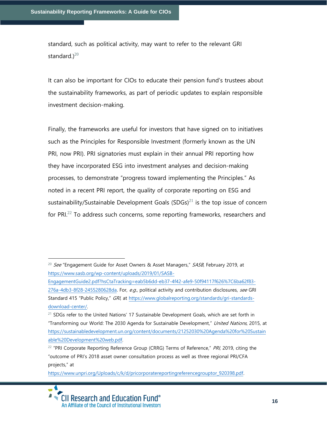standard, such as political activity, may want to refer to the relevant GRI standard.) $^{20}$ 

It can also be important for CIOs to educate their pension fund's trustees about the sustainability frameworks, as part of periodic updates to explain responsible investment decision-making.

Finally, the frameworks are useful for investors that have signed on to initiatives such as the Principles for Responsible Investment (formerly known as the UN PRI, now PRI). PRI signatories must explain in their annual PRI reporting how they have incorporated ESG into investment analyses and decision-making processes, to demonstrate "progress toward implementing the Principles." As noted in a recent PRI report, the quality of corporate reporting on ESG and sustainability/Sustainable Development Goals  $(SDGs)^{21}$  is the top issue of concern for PRI $^{22}$  To address such concerns, some reporting frameworks, researchers and

<sup>&</sup>lt;sup>20</sup> See "Engagement Guide for Asset Owners & Asset Managers," SASB, February 2019, at [https://www.sasb.org/wp-content/uploads/2019/01/SASB-](https://www.sasb.org/wp-content/uploads/2019/01/SASB-EngagementGuide2.pdf?hsCtaTracking=eab5b6dd-eb37-4f42-afe9-50f94117f626%7C6ba62f83-276a-4db3-8f28-2455280628da)

[EngagementGuide2.pdf?hsCtaTracking=eab5b6dd-eb37-4f42-afe9-50f94117f626%7C6ba62f83-](https://www.sasb.org/wp-content/uploads/2019/01/SASB-EngagementGuide2.pdf?hsCtaTracking=eab5b6dd-eb37-4f42-afe9-50f94117f626%7C6ba62f83-276a-4db3-8f28-2455280628da) [276a-4db3-8f28-2455280628da.](https://www.sasb.org/wp-content/uploads/2019/01/SASB-EngagementGuide2.pdf?hsCtaTracking=eab5b6dd-eb37-4f42-afe9-50f94117f626%7C6ba62f83-276a-4db3-8f28-2455280628da) For, e.g., political activity and contribution disclosures, see GRI Standard 415 "Public Policy," GRI, at [https://www.globalreporting.org/standards/gri-standards](https://www.globalreporting.org/standards/gri-standards-download-center/)[download-center/.](https://www.globalreporting.org/standards/gri-standards-download-center/) 

 $21$  SDGs refer to the United Nations' 17 Sustainable Development Goals, which are set forth in "Transforming our World: The 2030 Agenda for Sustainable Development," United Nations, 2015, at [https://sustainabledevelopment.un.org/content/documents/21252030%20Agenda%20for%20Sustain](https://sustainabledevelopment.un.org/content/documents/21252030%20Agenda%20for%20Sustainable%20Development%20web.pdf) [able%20Development%20web.pdf.](https://sustainabledevelopment.un.org/content/documents/21252030%20Agenda%20for%20Sustainable%20Development%20web.pdf)

<sup>&</sup>lt;sup>22</sup> "PRI Corporate Reporting Reference Group (CRRG) Terms of Reference," *PRI*, 2019, citing the "outcome of PRI's 2018 asset owner consultation process as well as three regional PRI/CFA projects," at

[https://www.unpri.org/Uploads/c/k/d/pricorporatereportingreferencegrouptor\\_920398.pdf.](https://www.unpri.org/Uploads/c/k/d/pricorporatereportingreferencegrouptor_920398.pdf) 

**CII Research and Education Fund®** An Affiliate of the Council of Institutional Investors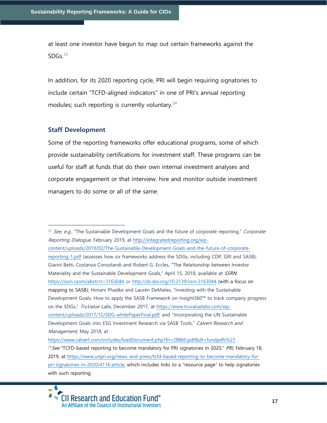at least one investor have begun to map out certain frameworks against the  $SDGs<sup>23</sup>$ 

In addition, for its 2020 reporting cycle, PRI will begin requiring signatories to include certain "TCFD-aligned indicators" in one of PRI's annual reporting modules; such reporting is currently voluntary. $24$ 

#### **Staff Development**

Some of the reporting frameworks offer educational programs, some of which provide sustainability certifications for investment staff. These programs can be useful for staff at funds that do their own internal investment analyses and corporate engagement or that interview, hire and monitor outside investment managers to do some or all of the same.

 $23$  See, e.g., "The Sustainable Development Goals and the future of corporate reporting," Corporate Reporting Dialogue, February 2019, at [http://integratedreporting.org/wp](http://integratedreporting.org/wp-content/uploads/2019/02/The-Sustainable-Development-Goals-and-the-future-of-corporate-reporting-1.pdf)[content/uploads/2019/02/The-Sustainable-Development-Goals-and-the-future-of-corporate](http://integratedreporting.org/wp-content/uploads/2019/02/The-Sustainable-Development-Goals-and-the-future-of-corporate-reporting-1.pdf)[reporting-1.pdf](http://integratedreporting.org/wp-content/uploads/2019/02/The-Sustainable-Development-Goals-and-the-future-of-corporate-reporting-1.pdf) (assesses how six frameworks address the SDGs, including CDP, GRI and SASB); Gianni Betti, Costanza Consolandi and Robert G. Eccles, **"**The Relationship between Investor Materiality and the Sustainable Development Goals," April 15, 2018, available at SSRN. [https://ssrn.caom/abstrct=3163044](https://ssrn.com/abstract=3163044) or [http://dx.doi.org/10.2139/ssrn.3163044](https://dx.doi.org/10.2139/ssrn.3163044) (with a focus on mapping to SASB); Himani Phadke and Laurèn DeMates, "Investing with the Sustainable Development Goals: How to apply the SASB Framework on Insight360™ to track company progress on the SDGs," TruValue Labs, December 2017, at [https://www.truvaluelabs.com/wp](https://www.truvaluelabs.com/wp-content/uploads/2017/12/SDG-whitePaperFinal.pdf)[content/uploads/2017/12/SDG-whitePaperFinal.pdf;](https://www.truvaluelabs.com/wp-content/uploads/2017/12/SDG-whitePaperFinal.pdf) and "Incorporating the UN Sustainable Development Goals into ESG Investment Research via SASB Tools," Calvert Research and Management, May 2018, at [https://www.calvert.com/includes/loadDocument.php?fn=28860.pdf&dt=fundpdfs%27.](https://www.calvert.com/includes/loadDocument.php?fn=28860.pdf&dt=fundpdfs%27) <sup>24</sup>See "TCFD-based reporting to become mandatory for PRI signatories in 2020," *PRI*, February 18, 2019, at [https://www.unpri.org/news-and-press/tcfd-based-reporting-to-become-mandatory-for](https://www.unpri.org/news-and-press/tcfd-based-reporting-to-become-mandatory-for-pri-signatories-in-2020/4116.article)[pri-signatories-in-2020/4116.article](https://www.unpri.org/news-and-press/tcfd-based-reporting-to-become-mandatory-for-pri-signatories-in-2020/4116.article), which includes links to a "resource page" to help signatories with such reporting.

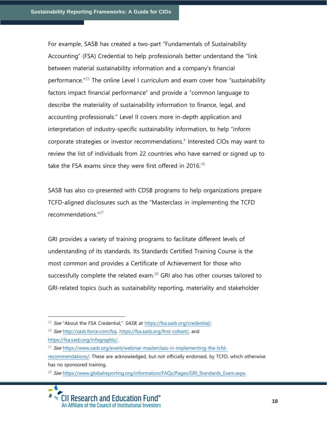For example, SASB has created a two-part "Fundamentals of Sustainability Accounting" (FSA) Credential to help professionals better understand the "link between material sustainability information and a company's financial performance.<sup>"25</sup> The online Level I curriculum and exam cover how "sustainability factors impact financial performance" and provide a "common language to describe the materiality of sustainability information to finance, legal, and accounting professionals." Level II covers more in-depth application and interpretation of industry-specific sustainability information, to help "inform corporate strategies or investor recommendations." Interested CIOs may want to review the list of individuals from 22 countries who have earned or signed up to take the FSA exams since they were first offered in 2016.<sup>26</sup>

SASB has also co-presented with CDSB programs to help organizations prepare TCFD-aligned disclosures such as the "Masterclass in implementing the TCFD recommendations."<sup>27</sup>

GRI provides a variety of training programs to facilitate different levels of understanding of its standards. Its Standards Certified Training Course is the most common and provides a Certificate of Achievement for those who successfully complete the related exam. $28$  GRI also has other courses tailored to GRI-related topics (such as sustainability reporting, materiality and stakeholder

<sup>26</sup> See [http://sasb.force.com/fsa,](http://sasb.force.com/fsa) [https://fsa.sasb.org/first-cohort/,](https://fsa.sasb.org/first-cohort/) and [https://fsa.sasb.org/infographic/.](https://fsa.sasb.org/infographic/)

<sup>&</sup>lt;sup>25</sup> See "About the FSA Credential,"  $SASB$ , at https://fsa.sasb.org/credential/.

<sup>&</sup>lt;sup>27</sup> See [https://www.sasb.org/event/webinar-masterclass-in-implementing-the-tcfd](https://www.sasb.org/event/webinar-masterclass-in-implementing-the-tcfd-recommendations/)[recommendations/.](https://www.sasb.org/event/webinar-masterclass-in-implementing-the-tcfd-recommendations/) These are acknowledged, but not officially endorsed, by TCFD, which otherwise has no sponsored training.

<sup>&</sup>lt;sup>28</sup> See [https://www.globalreporting.org/information/FAQs/Pages/GRI\\_Standards\\_Exam.aspx.](https://www.globalreporting.org/information/FAQs/Pages/GRI_Standards_Exam.aspx)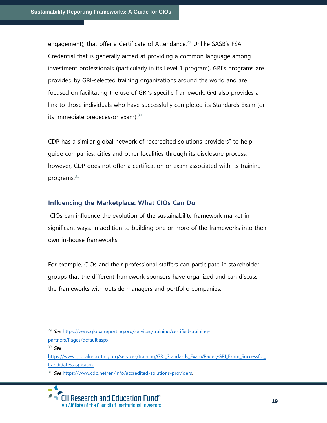engagement), that offer a Certificate of Attendance.<sup>29</sup> Unlike SASB's FSA Credential that is generally aimed at providing a common language among investment professionals (particularly in its Level 1 program), GRI's programs are provided by GRI-selected training organizations around the world and are focused on facilitating the use of GRI's specific framework. GRI also provides a link to those individuals who have successfully completed its Standards Exam (or its immediate predecessor exam). $30<sub>1</sub>$ 

CDP has a similar global network of "accredited solutions providers" to help guide companies, cities and other localities through its disclosure process; however, CDP does not offer a certification or exam associated with its training programs. $31$ 

#### **Influencing the Marketplace: What CIOs Can Do**

CIOs can influence the evolution of the sustainability framework market in significant ways, in addition to building one or more of the frameworks into their own in-house frameworks.

For example, CIOs and their professional staffers can participate in stakeholder groups that the different framework sponsors have organized and can discuss the frameworks with outside managers and portfolio companies.

<sup>&</sup>lt;sup>29</sup> See [https://www.globalreporting.org/services/training/certified-training](https://www.globalreporting.org/services/training/certified-training-partners/Pages/default.aspx)[partners/Pages/default.aspx.](https://www.globalreporting.org/services/training/certified-training-partners/Pages/default.aspx)

 $30 \,$  See

https://www.globalreporting.org/services/training/GRI\_Standards\_Exam/Pages/GRI\_Exam\_Successful [Candidates.aspx.aspx.](https://www.globalreporting.org/services/training/GRI_Standards_Exam/Pages/GRI_Exam_Successful_Candidates.aspx.aspx)

<sup>31</sup> See [https://www.cdp.net/en/info/accredited-solutions-providers.](https://www.cdp.net/en/info/accredited-solutions-providers)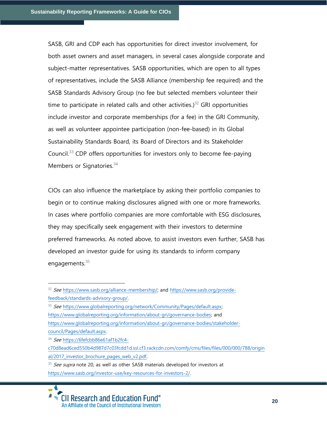SASB, GRI and CDP each has opportunities for direct investor involvement, for both asset owners and asset managers, in several cases alongside corporate and subject-matter representatives. SASB opportunities, which are open to all types of representatives, include the SASB Alliance (membership fee required) and the SASB Standards Advisory Group (no fee but selected members volunteer their time to participate in related calls and other activities.) $32$  GRI opportunities include investor and corporate memberships (for a fee) in the GRI Community, as well as volunteer appointee participation (non-fee-based) in its Global Sustainability Standards Board, its Board of Directors and its Stakeholder Council.<sup>33</sup> CDP offers opportunities for investors only to become fee-paying Members or Signatories.<sup>34</sup>

CIOs can also influence the marketplace by asking their portfolio companies to begin or to continue making disclosures aligned with one or more frameworks. In cases where portfolio companies are more comfortable with ESG disclosures, they may specifically seek engagement with their investors to determine preferred frameworks. As noted above, to assist investors even further, SASB has developed an investor guide for using its standards to inform company engagements. $35$ 

33 See [https://www.globalreporting.org/network/Community/Pages/default.aspx;](https://www.globalreporting.org/network/Community/Pages/default.aspx) [https://www.globalreporting.org/information/about-gri/governance-bodies;](https://www.globalreporting.org/information/about-gri/governance-bodies) and [https://www.globalreporting.org/information/about-gri/governance-bodies/stakeholder](https://www.globalreporting.org/information/about-gri/governance-bodies/stakeholder-council/Pages/default.aspx)[council/Pages/default.aspx.](https://www.globalreporting.org/information/about-gri/governance-bodies/stakeholder-council/Pages/default.aspx)

34 See [https://6fefcbb86e61af1b2fc4-](https://6fefcbb86e61af1b2fc4-c70d8ead6ced550b4d987d7c03fcdd1d.ssl.cf3.rackcdn.com/comfy/cms/files/files/000/000/788/original/2017_investor_brochure_pages_web_v2.pdf)

[c70d8ead6ced550b4d987d7c03fcdd1d.ssl.cf3.rackcdn.com/comfy/cms/files/files/000/000/788/origin](https://6fefcbb86e61af1b2fc4-c70d8ead6ced550b4d987d7c03fcdd1d.ssl.cf3.rackcdn.com/comfy/cms/files/files/000/000/788/original/2017_investor_brochure_pages_web_v2.pdf) al/2017 investor brochure pages web v2.pdf.

<sup>35</sup> See supra note 20, as well as other SASB materials developed for investors at [https://www.sasb.org/investor-use/key-resources-for-investors-2/.](https://www.sasb.org/investor-use/key-resources-for-investors-2/)



<sup>&</sup>lt;sup>32</sup> See [https://www.sasb.org/alliance-membership/;](https://www.sasb.org/alliance-membership/) and [https://www.sasb.org/provide](https://www.sasb.org/provide-feedback/standards-advisory-group/)[feedback/standards-advisory-group/.](https://www.sasb.org/provide-feedback/standards-advisory-group/)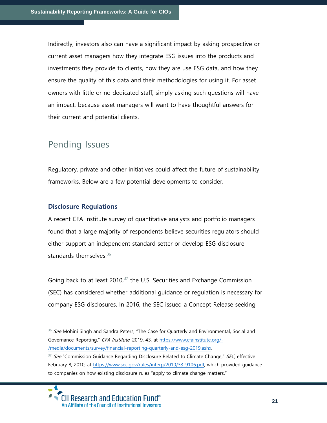Indirectly, investors also can have a significant impact by asking prospective or current asset managers how they integrate ESG issues into the products and investments they provide to clients, how they are use ESG data, and how they ensure the quality of this data and their methodologies for using it. For asset owners with little or no dedicated staff, simply asking such questions will have an impact, because asset managers will want to have thoughtful answers for their current and potential clients.

### Pending Issues

Regulatory, private and other initiatives could affect the future of sustainability frameworks. Below are a few potential developments to consider.

#### **Disclosure Regulations**

A recent CFA Institute survey of quantitative analysts and portfolio managers found that a large majority of respondents believe securities regulators should either support an independent standard setter or develop ESG disclosure standards themselves.<sup>36</sup>

Going back to at least  $2010<sup>37</sup>$  the U.S. Securities and Exchange Commission (SEC) has considered whether additional guidance or regulation is necessary for company ESG disclosures. In 2016, the SEC issued a Concept Release seeking

<sup>&</sup>lt;sup>37</sup> See "Commission Guidance Regarding Disclosure Related to Climate Change," SEC, effective February 8, 2010, at [https://www.sec.gov/rules/interp/2010/33-9106.pdf,](https://www.sec.gov/rules/interp/2010/33-9106.pdf) which provided guidance to companies on how existing disclosure rules "apply to climate change matters."



<sup>&</sup>lt;sup>36</sup> See Mohini Singh and Sandra Peters, "The Case for Quarterly and Environmental, Social and Governance Reporting," CFA Institute, 2019, 43, at [https://www.cfainstitute.org/-](https://www.cfainstitute.org/-/media/documents/survey/financial-reporting-quarterly-and-esg-2019.ashx) [/media/documents/survey/financial-reporting-quarterly-and-esg-2019.ashx.](https://www.cfainstitute.org/-/media/documents/survey/financial-reporting-quarterly-and-esg-2019.ashx)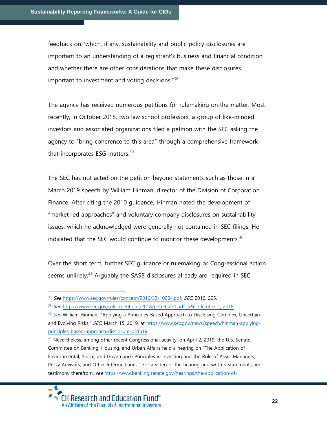feedback on "which, if any, sustainability and public policy disclosures are important to an understanding of a registrant's business and financial condition and whether there are other considerations that make these disclosures important to investment and voting decisions."<sup>38</sup>

The agency has received numerous petitions for rulemaking on the matter. Most recently, in October 2018, two law school professors, a group of like-minded investors and associated organizations filed a petition with the SEC asking the agency to "bring coherence to this area" through a comprehensive framework that incorporates ESG matters. $39$ 

The SEC has not acted on the petition beyond statements such as those in a March 2019 speech by William Hinman, director of the Division of Corporation Finance. After citing the 2010 guidance, Hinman noted the development of "market-led approaches" and voluntary company disclosures on sustainability issues, which he acknowledged were generally not contained in SEC filings. He indicated that the SEC would continue to monitor these developments. $40$ 

Over the short term, further SEC guidance or rulemaking or Congressional action seems unlikely.<sup>41</sup> Arguably the SASB disclosures already are required in SEC

<sup>38</sup> See [https://www.sec.gov/rules/concept/2016/33-10064.pdf,](https://www.sec.gov/rules/concept/2016/33-10064.pdf) SEC, 2016, 205.

<sup>&</sup>lt;sup>39</sup> See [https://www.sec.gov/rules/petitions/2018/petn4-730.pdf,](https://www.sec.gov/rules/petitions/2018/petn4-730.pdf) SEC, October 1, 2018.

<sup>40</sup> See William Hinman, **"**Applying a Principles-Based Approach to Disclosing Complex, Uncertain and Evolving Risks," SEC, March 15, 2019, at [https://www.sec.gov/news/speech/hinman-applying](https://www.sec.gov/news/speech/hinman-applying-principles-based-approach-disclosure-031519)[principles-based-approach-disclosure-031519.](https://www.sec.gov/news/speech/hinman-applying-principles-based-approach-disclosure-031519)

<sup>&</sup>lt;sup>41</sup> Nevertheless, among other recent Congressional activity, on April 2, 2019, the U.S. Senate Committee on Banking, Housing, and Urban Affairs held a hearing on "The Application of Environmental, Social, and Governance Principles in Investing and the Role of Asset Managers, Proxy Advisors, and Other Intermediaries." For a video of the hearing and written statements and testimony therefrom, see [https://www.banking.senate.gov/hearings/the-application-of-](https://www.banking.senate.gov/hearings/the-application-of-environmental-social-and-governance-principles-in-investing-and-the-role-of-asset-managers-proxy-advisors-and-other-intermediaries)

**CII Research and Education Fund®** An Affiliate of the Council of Institutional Investors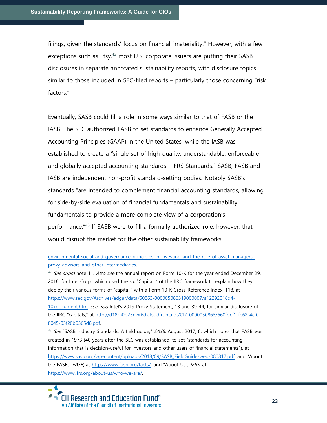filings, given the standards' focus on financial "materiality." However, with a few exceptions such as  $Esty<sub>1</sub><sup>42</sup>$  most U.S. corporate issuers are putting their SASB disclosures in separate annotated sustainability reports, with disclosure topics similar to those included in SEC-filed reports – particularly those concerning "risk factors."

Eventually, SASB could fill a role in some ways similar to that of FASB or the IASB. The SEC authorized FASB to set standards to enhance Generally Accepted Accounting Principles (GAAP) in the United States, while the IASB was established to create a "single set of high-quality, understandable, enforceable and globally accepted accounting standards—IFRS Standards." SASB, FASB and IASB are independent non-profit standard-setting bodies. Notably SASB's standards "are intended to complement financial accounting standards, allowing for side-by-side evaluation of financial fundamentals and sustainability fundamentals to provide a more complete view of a corporation's performance."<sup>43</sup> If SASB were to fill a formally authorized role, however, that would disrupt the market for the other sustainability frameworks.

 $42$  See supra note 11. Also see the annual report on Form 10-K for the year ended December 29, 2018, for Intel Corp., which used the six "Capitals" of the IIRC framework to explain how they deploy their various forms of "capital," with a Form 10-K Cross-Reference Index, 118, at [https://www.sec.gov/Archives/edgar/data/50863/000005086319000007/a12292018q4-](https://www.sec.gov/Archives/edgar/data/50863/000005086319000007/a12292018q4-10kdocument.htm)

[10kdocument.htm;](https://www.sec.gov/Archives/edgar/data/50863/000005086319000007/a12292018q4-10kdocument.htm) see also Intel's 2019 Proxy Statement, 13 and 39-44, for similar disclosure of the IIRC "capitals," at [http://d18rn0p25nwr6d.cloudfront.net/CIK-0000050863/660fdcf1-fe62-4cf0-](http://d18rn0p25nwr6d.cloudfront.net/CIK-0000050863/660fdcf1-fe62-4cf0-8045-03f20b6365d8.pdf) [8045-03f20b6365d8.pdf.](http://d18rn0p25nwr6d.cloudfront.net/CIK-0000050863/660fdcf1-fe62-4cf0-8045-03f20b6365d8.pdf)

<sup>43</sup> See "SASB Industry Standards: A field guide," SASB, August 2017, 8, which notes that FASB was created in 1973 (40 years after the SEC was established, to set "standards for accounting information that is decision-useful for investors and other users of financial statements"), at [https://www.sasb.org/wp-content/uploads/2018/09/SASB\\_FieldGuide-web-080817.pdf;](https://www.sasb.org/wp-content/uploads/2018/09/SASB_FieldGuide-web-080817.pdf) and "About the FASB," FASB, at [https://www.fasb.org/facts/;](https://www.fasb.org/facts/) and "About Us", IFRS, at [https://www.ifrs.org/about-us/who-we-are/.](https://www.ifrs.org/about-us/who-we-are/)



[environmental-social-and-governance-principles-in-investing-and-the-role-of-asset-managers](https://www.banking.senate.gov/hearings/the-application-of-environmental-social-and-governance-principles-in-investing-and-the-role-of-asset-managers-proxy-advisors-and-other-intermediaries)[proxy-advisors-and-other-intermediaries.](https://www.banking.senate.gov/hearings/the-application-of-environmental-social-and-governance-principles-in-investing-and-the-role-of-asset-managers-proxy-advisors-and-other-intermediaries)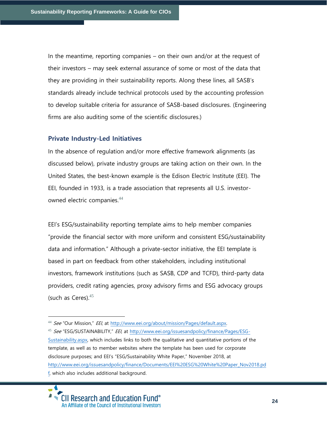In the meantime, reporting companies – on their own and/or at the request of their investors – may seek external assurance of some or most of the data that they are providing in their sustainability reports. Along these lines, all SASB's standards already include technical protocols used by the accounting profession to develop suitable criteria for assurance of SASB-based disclosures. (Engineering firms are also auditing some of the scientific disclosures.)

#### **Private Industry-Led Initiatives**

In the absence of regulation and/or more effective framework alignments (as discussed below), private industry groups are taking action on their own. In the United States, the best-known example is the Edison Electric Institute (EEI). The EEI, founded in 1933, is a trade association that represents all U.S. investorowned electric companies.<sup>44</sup>

EEI's ESG/sustainability reporting template aims to help member companies "provide the financial sector with more uniform and consistent ESG/sustainability data and information." Although a private-sector initiative, the EEI template is based in part on feedback from other stakeholders, including institutional investors, framework institutions (such as SASB, CDP and TCFD), third-party data providers, credit rating agencies, proxy advisory firms and ESG advocacy groups (such as Ceres). $45$ 

45 See "ESG/SUSTAINABILITY," EEI, at [http://www.eei.org/issuesandpolicy/finance/Pages/ESG-](http://www.eei.org/issuesandpolicy/finance/Pages/ESG-Sustainability.aspx)[Sustainability.aspx,](http://www.eei.org/issuesandpolicy/finance/Pages/ESG-Sustainability.aspx) which includes links to both the qualitative and quantitative portions of the template, as well as to member websites where the template has been used for corporate disclosure purposes; and EEI's "ESG/Sustainability White Paper," November 2018, at [http://www.eei.org/issuesandpolicy/finance/Documents/EEI%20ESG%20White%20Paper\\_Nov2018.pd](http://www.eei.org/issuesandpolicy/finance/Documents/EEI%20ESG%20White%20Paper_Nov2018.pdf) [f,](http://www.eei.org/issuesandpolicy/finance/Documents/EEI%20ESG%20White%20Paper_Nov2018.pdf) which also includes additional background.

<sup>44</sup> See "Our Mission," EEI, at [http://www.eei.org/about/mission/Pages/default.aspx.](http://www.eei.org/about/mission/Pages/default.aspx)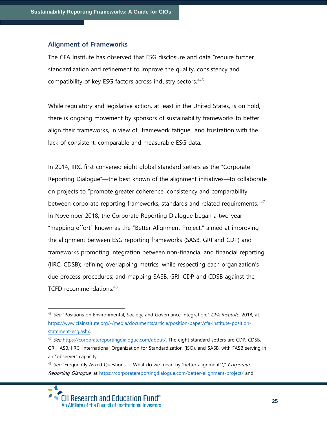#### **Alignment of Frameworks**

The CFA Institute has observed that ESG disclosure and data "require further standardization and refinement to improve the quality, consistency and compatibility of key ESG factors across industry sectors."<sup>46</sup>

While regulatory and legislative action, at least in the United States, is on hold, there is ongoing movement by sponsors of sustainability frameworks to better align their frameworks, in view of "framework fatigue" and frustration with the lack of consistent, comparable and measurable ESG data.

In 2014, IIRC first convened eight global standard setters as the "Corporate Reporting Dialogue"—the best known of the alignment initiatives—to collaborate on projects to "promote greater coherence, consistency and comparability between corporate reporting frameworks, standards and related requirements."<sup>47</sup> In November 2018, the Corporate Reporting Dialogue began a two-year "mapping effort" known as the "Better Alignment Project," aimed at improving the alignment between ESG reporting frameworks (SASB, GRI and CDP) and frameworks promoting integration between non-financial and financial reporting (IIRC, CDSB); refining overlapping metrics, while respecting each organization's due process procedures; and mapping SASB, GRI, CDP and CDSB against the TCFD recommendations.<sup>48</sup>

<sup>46</sup> See "Positions on Environmental, Society, and Governance Integration," CFA Institute, 2018, at [https://www.cfainstitute.org/-/media/documents/article/position-paper/cfa-institute-position](https://www.cfainstitute.org/-/media/documents/article/position-paper/cfa-institute-position-statement-esg.ashx)[statement-esg.ashx.](https://www.cfainstitute.org/-/media/documents/article/position-paper/cfa-institute-position-statement-esg.ashx)

 $47$  See [https://corporatereportingdialogue.com/about/.](https://corporatereportingdialogue.com/about/) The eight standard setters are CDP, CDSB, GRI, IASB, IIRC, International Organization for Standardization (ISO), and SASB, with FASB serving in an "observer" capacity.

<sup>&</sup>lt;sup>48</sup> See "Frequently Asked Questions -- What do we mean by 'better alignment'?," Corporate Reporting Dialogue, at<https://corporatereportingdialogue.com/better-alignment-project/> and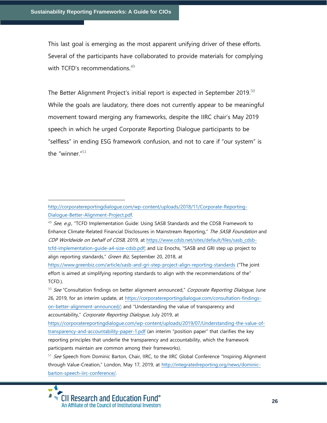This last goal is emerging as the most apparent unifying driver of these efforts. Several of the participants have collaborated to provide materials for complying with TCFD's recommendations.<sup>49</sup>

The Better Alignment Project's initial report is expected in September 2019.<sup>50</sup> While the goals are laudatory, there does not currently appear to be meaningful movement toward merging any frameworks, despite the IIRC chair's May 2019 speech in which he urged Corporate Reporting Dialogue participants to be "selfless" in ending ESG framework confusion, and not to care if "our system" is the "winner."<sup>51</sup>

<sup>49</sup> See, e.g., "TCFD Implementation Guide: Using SASB Standards and the CDSB Framework to Enhance Climate-Related Financial Disclosures in Mainstream Reporting," The SASB Foundation and CDP Worldwide on behalf of CDSB, 2019, at [https://www.cdsb.net/sites/default/files/sasb\\_cdsb](https://www.cdsb.net/sites/default/files/sasb_cdsb-tcfd-implementation-guide-a4-size-cdsb.pdf)[tcfd-implementation-guide-a4-size-cdsb.pdf](https://www.cdsb.net/sites/default/files/sasb_cdsb-tcfd-implementation-guide-a4-size-cdsb.pdf); and Liz Enochs, "SASB and GRI step up project to align reporting standards," Green Biz, September 20, 2018, at

<https://www.greenbiz.com/article/sasb-and-gri-step-project-align-reporting-standards> ("The joint effort is aimed at simplifying reporting standards to align with the recommendations of the" TCFD.).

50 See "Consultation findings on better alignment announced," Corporate Reporting Dialogue, June 26, 2019, for an interim update, at [https://corporatereportingdialogue.com/consultation-findings](https://corporatereportingdialogue.com/consultation-findings-on-better-alignment-announced/)[on-better-alignment-announced/](https://corporatereportingdialogue.com/consultation-findings-on-better-alignment-announced/); and "Understanding the value of transparency and accountability," Corporate Reporting Dialogue, July 2019, at

[https://corporatereportingdialogue.com/wp-content/uploads/2019/07/Understanding-the-value-of](https://corporatereportingdialogue.com/wp-content/uploads/2019/07/Understanding-the-value-of-transparency-and-accountability-paper-1.pdf)[transparency-and-accountability-paper-1.pdf](https://corporatereportingdialogue.com/wp-content/uploads/2019/07/Understanding-the-value-of-transparency-and-accountability-paper-1.pdf) (an interim "position paper" that clarifies the key reporting principles that underlie the transparency and accountability, which the framework participants maintain are common among their frameworks).

<sup>51</sup> See Speech from Dominic Barton, Chair, IIRC, to the IIRC Global Conference "Inspiring Alignment through Value-Creation," London, May 17, 2019, at [http://integratedreporting.org/news/dominic](http://integratedreporting.org/news/dominic-barton-speech-iirc-conference/)[barton-speech-iirc-conference/.](http://integratedreporting.org/news/dominic-barton-speech-iirc-conference/)



[http://corporatereportingdialogue.com/wp-content/uploads/2018/11/Corporate-Reporting-](http://corporatereportingdialogue.com/wp-content/uploads/2018/11/Corporate-Reporting-Dialogue-Better-Alignment-Project.pdf)[Dialogue-Better-Alignment-Project.pdf.](http://corporatereportingdialogue.com/wp-content/uploads/2018/11/Corporate-Reporting-Dialogue-Better-Alignment-Project.pdf)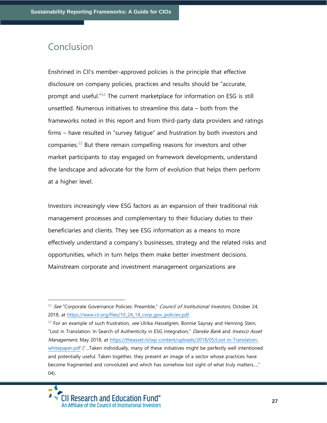### Conclusion

Enshrined in CII's member-approved policies is the principle that effective disclosure on company policies, practices and results should be "accurate, prompt and useful."<sup>52</sup> The current marketplace for information on ESG is still unsettled. Numerous initiatives to streamline this data – both from the frameworks noted in this report and from third-party data providers and ratings firms – have resulted in "survey fatigue" and frustration by both investors and companies. $53$  But there remain compelling reasons for investors and other market participants to stay engaged on framework developments, understand the landscape and advocate for the form of evolution that helps them perform at a higher level.

Investors increasingly view ESG factors as an expansion of their traditional risk management processes and complementary to their fiduciary duties to their beneficiaries and clients. They see ESG information as a means to more effectively understand a company's businesses, strategy and the related risks and opportunities, which in turn helps them make better investment decisions. Mainstream corporate and investment management organizations are

<sup>53</sup> For an example of such frustration, see Ulrika Hasselgren, Bonnie Saynay and Henning Stein, "Lost in Translation: In Search of Authenticity in ESG Integration," Danske Bank and Invesco Asset Management, May 2018, at [https://theasset.nl/wp-content/uploads/2018/05/Lost-in-Translation](https://theasset.nl/wp-content/uploads/2018/05/Lost-in-Translation-whitepaper.pdf)[whitepaper.pdf](https://theasset.nl/wp-content/uploads/2018/05/Lost-in-Translation-whitepaper.pdf) ("…Taken individually, many of these initiatives might be perfectly well intentioned and potentially useful. Taken together, they present an image of a sector whose practices have become fragmented and convoluted and which has somehow lost sight of what truly matters…," 04).



<sup>52</sup> See "Corporate Governance Policies: Preamble," Council of Institutional Investors, October 24, 2018, at [https://www.cii.org/files/10\\_24\\_18\\_corp\\_gov\\_policies.pdf.](https://www.cii.org/files/10_24_18_corp_gov_policies.pdf)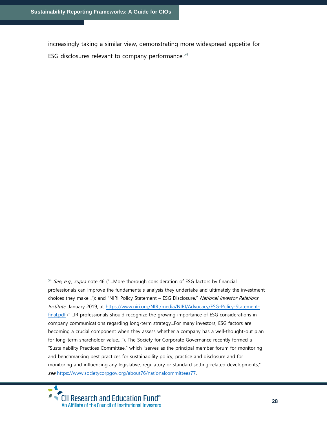increasingly taking a similar view, demonstrating more widespread appetite for ESG disclosures relevant to company performance. $54$ 

 $54$  See, e.g., supra note 46 ("...More thorough consideration of ESG factors by financial professionals can improve the fundamentals analysis they undertake and ultimately the investment choices they make..."); and "NIRI Policy Statement - ESG Disclosure," National Investor Relations Institute, January 2019, at [https://www.niri.org/NIRI/media/NIRI/Advocacy/ESG-Policy-Statement](https://www.niri.org/NIRI/media/NIRI/Advocacy/ESG-Policy-Statement-final.pdf)[final.pdf](https://www.niri.org/NIRI/media/NIRI/Advocacy/ESG-Policy-Statement-final.pdf) ("...IR professionals should recognize the growing importance of ESG considerations in company communications regarding long-term strategy...For many investors, ESG factors are becoming a crucial component when they assess whether a company has a well-thought-out plan for long-term shareholder value…"). The Society for Corporate Governance recently formed a "Sustainability Practices Committee," which "serves as the principal member forum for monitoring and benchmarking best practices for sustainability policy, practice and disclosure and for monitoring and influencing any legislative, regulatory or standard setting-related developments;" see [https://www.societycorpgov.org/about76/nationalcommittees77.](https://www.societycorpgov.org/about76/nationalcommittees77)

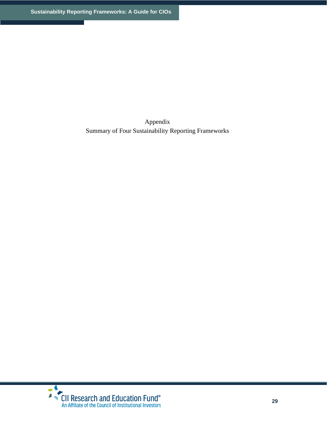Appendix Summary of Four Sustainability Reporting Frameworks

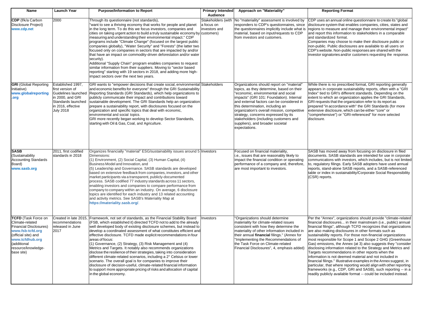| <b>Name</b>                                                                                                                                                                                      | <b>Launch Year</b>                                                                                                                               | <b>Purpose/Information to Report</b>                                                                                                                                                                                                                                                                                                                                                                                                                                                                                                                                                                                                                                                                                                                                                                                                                                                                    | <b>Primary Intended</b><br>Audience               | Approach on "Materiality"                                                                                                                                                                                                                                                                                                                                                                                                                      | <b>Reporting Format</b>                                                                                                                                                                                                                                                                                                                                                                                                                                                                                                                                                                                                                                                                                                                                                                                                                                                                                                   |
|--------------------------------------------------------------------------------------------------------------------------------------------------------------------------------------------------|--------------------------------------------------------------------------------------------------------------------------------------------------|---------------------------------------------------------------------------------------------------------------------------------------------------------------------------------------------------------------------------------------------------------------------------------------------------------------------------------------------------------------------------------------------------------------------------------------------------------------------------------------------------------------------------------------------------------------------------------------------------------------------------------------------------------------------------------------------------------------------------------------------------------------------------------------------------------------------------------------------------------------------------------------------------------|---------------------------------------------------|------------------------------------------------------------------------------------------------------------------------------------------------------------------------------------------------------------------------------------------------------------------------------------------------------------------------------------------------------------------------------------------------------------------------------------------------|---------------------------------------------------------------------------------------------------------------------------------------------------------------------------------------------------------------------------------------------------------------------------------------------------------------------------------------------------------------------------------------------------------------------------------------------------------------------------------------------------------------------------------------------------------------------------------------------------------------------------------------------------------------------------------------------------------------------------------------------------------------------------------------------------------------------------------------------------------------------------------------------------------------------------|
| CDP (f/k/a Carbon<br>Disclosure Project)<br>www.cdp.net                                                                                                                                          | 2000                                                                                                                                             | Through its questionnaire (not standards),<br>'want to see a thriving economy that works for people and planet<br>in the long term. To do this we focus investors, companies and<br>cities on taking urgent action to build a truly sustainable economy by customers)<br>measuring and understanding their environmental impact." CDP<br>programs include "Climate Change" (focused on the largest public<br>companies globally), "Water Security" and "Forests" (the latter two<br>focused only on companies in sectors that are impacted by and/or<br>that have an impact on commodity-driven deforestation and/or water<br>security).<br>Additional "Supply Chain" program enables companies to request<br>similar information from their suppliers. Moving to "sector based<br>reporting" starting with 19 sectors in 2018, and adding more high-<br>impact sectors over the next two years.        | Stakeholders (with<br>a focus on<br>investors and | No "materiality" assessment is involved by<br>responders to CDP's questionnaires, since<br>the questionnaires implicitly include what is<br>material, based on input/requests to CDP<br>from investors and customers.                                                                                                                                                                                                                          | CDP uses an annual online questionnaire to create its "global<br>disclosure system that enables companies, cities, states and<br>regions to measure and manage their environmental impact"<br>and report this information to stakeholders in a comparable<br>and standardized format.<br>Companies may choose to make their disclosure public or<br>non-public. Public disclosures are available to all users on<br>CDP's website. Non-public responses are shared with the<br>investor signatories and/or customers requesting the response.                                                                                                                                                                                                                                                                                                                                                                             |
| <b>GRI</b> (Global Reporting<br>Initiative)<br>www.globalreporting<br>.org                                                                                                                       | Established 1997,<br>first version of<br>Guidelines launched<br>in 2000, and GRI<br>Standards launched<br>in 2016, effective<br><b>July 2018</b> | GRI wants to "empower decisions that create social, environmental Stakeholders<br>and economic benefits for everyone" through the GRI Sustainability<br>Reporting Standards (GRI Standards), which help organizations to<br>publicly communicate their impact and contributions toward<br>sustainable development. The GRI Standards help an organization<br>prepare a sustainability report, with disclosures focused on the<br>organization and specific topics that deal with economic,<br>environmental and social topics.<br>GRI more recently began working to develop Sector Standards,<br>starting with Oil & Gas, Coal, and Agriculture.                                                                                                                                                                                                                                                       |                                                   | Organizations should report on "material"<br>topics, as they determine, based on their<br>"economic, environmental and social<br>impacts" (GRI 101: Foundation). Internal<br>and external factors can be considered in<br>this determination, including an<br>organization's overall mission, competitive<br>strategy, concerns expressed by its<br>stakeholders (including customers and<br>suppliers), and broader societal<br>expectations. | While there is no prescribed format, GRI reporting generally<br>appears in corporate sustainability reports, often with a "GRI<br>Index" tied to GRI's different standards. Depending on the<br>extent to which an organization applies the GRI Standards,<br>GRI requests that the organization refer to its report as<br>prepared "in accordance with" the GRI Standards (for more<br>extensive disclosure, which can be either "core" or<br>'comprehensive") or "GRI-referenced" for more selected<br>disclosure.                                                                                                                                                                                                                                                                                                                                                                                                      |
| <b>SASB</b><br>(Sustainability<br><b>Accounting Standards</b><br>Board)<br>www.sasb.org                                                                                                          | 2011, first codified<br>standards in 2018                                                                                                        | Organizes financially "material" ESG/sustainability issues around 5 Investors<br>Dimensions:<br>(1) Environment, (2) Social Capital, (3) Human Capital, (4)<br>Business Model and Innovation, and<br>(5) Leadership and Governance. SASB standards are developed<br>based on extensive feedback from companies, investors, and other<br>market participants via a transparent, publicly-documented<br>process. SASB codified 77 industry standards across 11 sectors,<br>enabling investors and companies to compare performance from<br>company to company within an industry. On average, 6 disclosure<br>topics are identified for each industry and 13 related accounting<br>and activity metrics. See SASB's Materiality Map at<br>https://materiality.sasb.org/.                                                                                                                                  |                                                   | Focused on financial materiality,<br>i.e., issues that are reasonably likely to<br>impact the financial condition or operating<br>performance of a company and, therefore,<br>are most important to investors.                                                                                                                                                                                                                                 | SASB has moved away from focusing on disclosure in filed<br>documents. SASB standards are intended for use in corporate<br>communications with investors, which includes, but is not limited<br>to, regulatory filings. Early SASB adopters have used annual<br>reports, stand-alone SASB reports, and a SASB-referenced<br>table or index in sustainability/Corporate Social Responsibility<br>(CSR) reports.                                                                                                                                                                                                                                                                                                                                                                                                                                                                                                            |
| <b>TCFD</b> (Task Force on<br>Climate-related<br><b>Financial Disclosures)</b><br>www.fsb-tcfd.org<br>(official site) and<br>www.tcfdhub.org<br>(additional<br>resource/knowledge-<br>base site) | Created in late 2015,<br>recommendations<br>released in June<br>2017                                                                             | Framework, not set of standards, as the Financial Stability Board<br>(FSB, which established it) directed TCFD not to add to the already<br>well developed body of existing disclosure schemes, but instead to<br>develop a coordinated assessment of what constitutes efficient and<br>effective disclosure. TCFD made explicit recommendations in four<br>areas of focus:<br>(1) Governance, (2) Strategy, (3) Risk Management and (4)<br>Metrics and Targets. It notably also recommends organizations<br>disclose the resilience of their strategies, taking into consideration<br>different climate-related scenarios, including a 2° Celsius or lower<br>scenario. The overall goal is for companies to improve their<br>disclosure of decision-useful, climate-related financial information<br>to support more appropriate pricing of risks and allocation of capital<br>in the global economy. | Investors                                         | 'Organizations should determine<br>materiality for climate-related issues<br>consistent with how they determine the<br>materiality of other information included in<br>their annual financial filings." (Annex for<br>"Implementing the Recommendations of<br>the Task Force on Climate-related<br>Financial Disclosures", 4, emphasis added)                                                                                                  | Per the "Annex", organizations should provide "climate-related<br>financial disclosures in their mainstream (i.e., public) annual<br>financial filings", although TCFD recognizes that organizations<br>are also making disclosures in other formats such as<br>sustainability reports. For those non-financial organizations<br>most responsible for Scope 1 and Scope 2 GHG (Greenhouse<br>Gas) emissions, the Annex (at 3) also suggests they "consider<br>disclosing information related to the Strategy and Metrics and<br>Targets recommendations in other reports when the<br>information is not deemed material and not included in<br>financial filings." Illustrative examples in the Annex suggest, in<br>particular, that where reporting would align with other reporting<br>frameworks (e.g., CDP, GRI and SASB), such reporting -- in a<br>readily publicly available format -- could be included instead. |